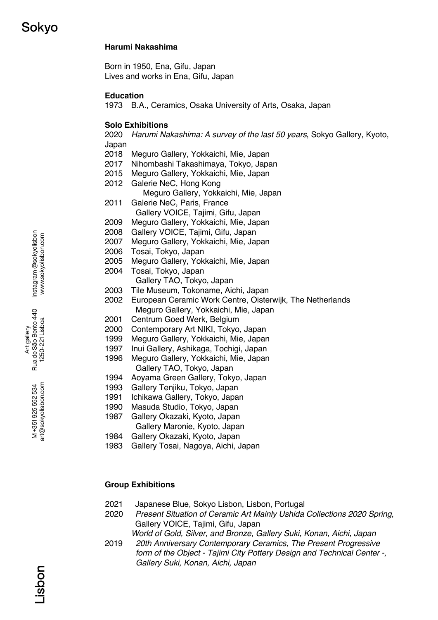### **Harumi Nakashima**

Born in 1950, Ena, Gifu, Japan Lives and works in Ena, Gifu, Japan

### **Education**

1973 B.A., Ceramics, Osaka University of Arts, Osaka, Japan

#### **Solo Exhibitions**

2020 *Harumi Nakashima: A survey of the last 50 years*, Sokyo Gallery, Kyoto, Japan

- 2018 Meguro Gallery, Yokkaichi, Mie, Japan
- 2017 Nihombashi Takashimaya, Tokyo, Japan
- 2015 Meguro Gallery, Yokkaichi, Mie, Japan
- 2012 Galerie NeC, Hong Kong
	- Meguro Gallery, Yokkaichi, Mie, Japan
- 2011 Galerie NeC, Paris, France Gallery VOICE, Tajimi, Gifu, Japan
- 2009 Meguro Gallery, Yokkaichi, Mie, Japan
- 2008 Gallery VOICE, Tajimi, Gifu, Japan
- 2007 Meguro Gallery, Yokkaichi, Mie, Japan
- 2006 Tosai, Tokyo, Japan
- 2005 Meguro Gallery, Yokkaichi, Mie, Japan
- 2004 Tosai, Tokyo, Japan Gallery TAO, Tokyo, Japan
- 2003 Tile Museum, Tokoname, Aichi, Japan
- 2002 European Ceramic Work Centre, Oisterwijk, The Netherlands Meguro Gallery, Yokkaichi, Mie, Japan
- 2001 Centrum Goed Werk, Belgium
- 2000 Contemporary Art NIKI, Tokyo, Japan
- 1999 Meguro Gallery, Yokkaichi, Mie, Japan
- 1997 Inui Gallery, Ashikaga, Tochigi, Japan
- 1996 Meguro Gallery, Yokkaichi, Mie, Japan Gallery TAO, Tokyo, Japan
- 1994 Aoyama Green Gallery, Tokyo, Japan
- 1993 Gallery Tenjiku, Tokyo, Japan
- 1991 Ichikawa Gallery, Tokyo, Japan
- 1990 Masuda Studio, Tokyo, Japan
- 1987 Gallery Okazaki, Kyoto, Japan
- Gallery Maronie, Kyoto, Japan
- 1984 Gallery Okazaki, Kyoto, Japan
- 1983 Gallery Tosai, Nagoya, Aichi, Japan

### **Group Exhibitions**

- 2021 Japanese Blue, Sokyo Lisbon, Lisbon, Portugal
- 2020 *Present Situation of Ceramic Art Mainly Ushida Collections 2020 Spring*, Gallery VOICE, Tajimi, Gifu, Japan
	- *World of Gold, Silver, and Bronze*, *Gallery Suki, Konan, Aichi, Japan*
- 2019 *20th Anniversary Contemporary Ceramics, The Present Progressive form of the Object - Tajimi City Pottery Design and Technical Center -, Gallery Suki, Konan, Aichi, Japan*

Instagram @sokyolisbon Instagram @sokyolisbon www.sokyolisbon.com www.sokyolisbon.com

Art gallery<br>Rua de São Bento 440 Rua de São Bento 440 1250-221 Lisboa 1250-221 Lisboa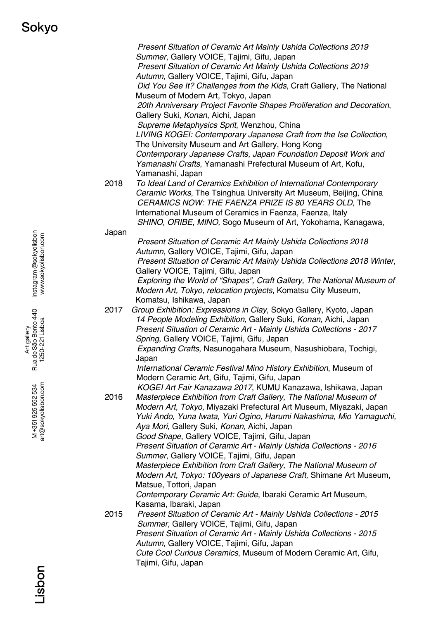*Present Situation of Ceramic Art Mainly Ushida Collections 2019 Summer*, Gallery VOICE, Tajimi, Gifu, Japan *Present Situation of Ceramic Art Mainly Ushida Collections 2019 Autumn*, Gallery VOICE, Tajimi, Gifu, Japan *Did You See It? Challenges from the Kids*, Craft Gallery, The National Museum of Modern Art, Tokyo, Japan *20th Anniversary Project Favorite Shapes Proliferation and Decoration*, Gallery Suki, *Konan,* Aichi, Japan *Supreme Metaphysics Sprit*, Wenzhou, China *LIVING KOGEI: Contemporary Japanese Craft from the Ise Collection*, The University Museum and Art Gallery, Hong Kong *Contemporary Japanese Crafts, Japan Foundation Deposit Work and Yamanashi Crafts*, Yamanashi Prefectural Museum of Art, Kofu, Yamanashi, Japan 2018 *To Ideal Land of Ceramics Exhibition of International Contemporary Ceramic Works*, The Tsinghua University Art Museum, Beijing, China *CERAMICS NOW: THE FAENZA PRIZE IS 80 YEARS OLD,* The International Museum of Ceramics in Faenza, Faenza, Italy *SHINO, ORIBE, MINO,* Sogo Museum of Art, Yokohama, Kanagawa, Japan *Present Situation of Ceramic Art Mainly Ushida Collections 2018 Autumn*, Gallery VOICE, Tajimi, Gifu, Japan *Present Situation of Ceramic Art Mainly Ushida Collections 2018 Winter*, Gallery VOICE, Tajimi, Gifu, Japan *Exploring the World of "Shapes", Craft Gallery, The National Museum of Modern Art, Tokyo, relocation projects*, Komatsu City Museum, Komatsu, Ishikawa, Japan 2017 *Group Exhibition: Expressions in Clay*, Sokyo Gallery, Kyoto, Japan *14 People Modeling Exhibition*, Gallery Suki, *Konan,* Aichi, Japan *Present Situation of Ceramic Art - Mainly Ushida Collections - 2017 Spring*, Gallery VOICE, Tajimi, Gifu, Japan *Expanding Crafts*, Nasunogahara Museum, Nasushiobara, Tochigi, Japan *International Ceramic Festival Mino History Exhibition*, Museum of Modern Ceramic Art, Gifu, Tajimi, Gifu, Japan *KOGEI Art Fair Kanazawa 2017*, KUMU Kanazawa, Ishikawa, Japan 2016 *Masterpiece Exhibition from Craft Gallery, The National Museum of Modern Art, Tokyo,* Miyazaki Prefectural Art Museum, Miyazaki, Japan *Yuki Ando, Yuna Iwata, Yuri Ogino, Harumi Nakashima, Mio Yamaguchi, Aya Mori*, Gallery Suki, *Konan,* Aichi, Japan *Good Shape*, Gallery VOICE, Tajimi, Gifu, Japan *Present Situation of Ceramic Art - Mainly Ushida Collections - 2016 Summer*, Gallery VOICE, Tajimi, Gifu, Japan *Masterpiece Exhibition from Craft Gallery, The National Museum of Modern Art, Tokyo: 100years of Japanese Craft,* Shimane Art Museum, Matsue, Tottori, Japan *Contemporary Ceramic Art: Guide*, Ibaraki Ceramic Art Museum, Kasama, Ibaraki, Japan 2015 *Present Situation of Ceramic Art - Mainly Ushida Collections - 2015 Summer,* Gallery VOICE, Tajimi, Gifu, Japan *Present Situation of Ceramic Art - Mainly Ushida Collections - 2015 Autumn,* Gallery VOICE, Tajimi, Gifu, Japan *Cute Cool Curious Ceramics*, Museum of Modern Ceramic Art, Gifu, Tajimi, Gifu, Japan

Instagram @sokyolisbon Instagram @sokyolisbon www.sokyolisbon.com www.sokyolisbon.com

Art gallery<br>Rua de São Bento 440 Rua de São Bento 440 1250-221 Lisboa 1250-221 Lisboa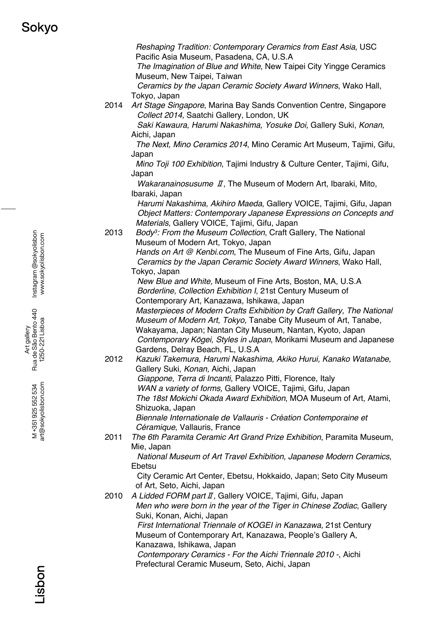*Reshaping Tradition: Contemporary Ceramics from East Asia*, USC Pacific Asia Museum, Pasadena, CA, U.S.A *The Imagination of Blue and White*, New Taipei City Yingge Ceramics Museum, New Taipei, Taiwan *Ceramics by the Japan Ceramic Society Award Winners*, Wako Hall, Tokyo, Japan 2014 *Art Stage Singapore*, Marina Bay Sands Convention Centre, Singapore *Collect 2014,* Saatchi Gallery, London, UK *Saki Kawaura, Harumi Nakashima, Yosuke Doi,* Gallery Suki, *Konan,*  Aichi, Japan *The Next, Mino Ceramics 2014*, Mino Ceramic Art Museum, Tajimi, Gifu, Japan *Mino Toji 100 Exhibition*, Tajimi Industry & Culture Center, Tajimi, Gifu, Japan *Wakaranainosusume* Ⅱ, The Museum of Modern Art, Ibaraki, Mito, Ibaraki, Japan *Harumi Nakashima, Akihiro Maeda*, Gallery VOICE, Tajimi, Gifu, Japan *Object Matters: Contemporary Japanese Expressions on Concepts and Materials*, Gallery VOICE, Tajimi, Gifu, Japan 2013 *Body3: From the Museum Collection*, Craft Gallery, The National Museum of Modern Art, Tokyo, Japan *Hands on Art @ Kenbi.com*, The Museum of Fine Arts, Gifu, Japan *Ceramics by the Japan Ceramic Society Award Winners*, Wako Hall, Tokyo, Japan *New Blue and White,* Museum of Fine Arts, Boston, MA, U.S.A *Borderline, Collection Exhibition I*, 21st Century Museum of Contemporary Art, Kanazawa, Ishikawa, Japan *Masterpieces of Modern Crafts Exhibition by Craft Gallery, The National Museum of Modern Art*, *Tokyo,* Tanabe City Museum of Art, Tanabe, Wakayama, Japan; Nantan City Museum, Nantan, Kyoto, Japan *Contemporary K*ō*gei, Styles in Japan*, Morikami Museum and Japanese Gardens, Delray Beach, FL, U.S.A 2012 *Kazuki Takemura, Harumi Nakashima, Akiko Hurui, Kanako Watanabe*, Gallery Suki, *Konan,* Aichi, Japan *Giappone, Terra di Incanti*, Palazzo Pitti, Florence, Italy *WAN a variety of forms,* Gallery VOICE, Tajimi, Gifu, Japan *The 18st Mokichi Okada Award Exhibition*, MOA Museum of Art, Atami, Shizuoka, Japan *Biennale Internationale de Vallauris - Création Contemporaine et Céramique*, Vallauris, France 2011 *The 6th Paramita Ceramic Art Grand Prize Exhibition*, Paramita Museum, Mie, Japan *National Museum of Art Travel Exhibition, Japanese Modern Ceramics*, Ebetsu City Ceramic Art Center, Ebetsu, Hokkaido, Japan; Seto City Museum of Art, Seto, Aichi, Japan 2010 *A Lidded FORM part*Ⅱ*,* Gallery VOICE, Tajimi, Gifu, Japan *Men who were born in the year of the Tiger in Chinese Zodiac*, Gallery Suki, Konan, Aichi, Japan *First International Triennale of KOGEI in Kanazawa,* 21st Century Museum of Contemporary Art, Kanazawa, People's Gallery A, Kanazawa, Ishikawa, Japan *Contemporary Ceramics - For the Aichi Triennale 2010 -*, Aichi Prefectural Ceramic Museum, Seto, Aichi, Japan

Instagram @sokyolisbon Instagram @sokyolisbon www.sokyolisbon.com www.sokyolisbon.com

Art gallery<br>Rua de São Bento 440 Rua de São Bento 440 1250-221 Lisboa 1250-221 Lisboa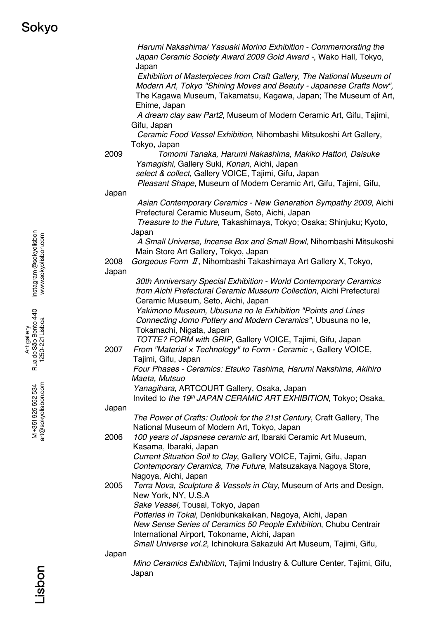*Harumi Nakashima/ Yasuaki Morino Exhibition - Commemorating the Japan Ceramic Society Award 2009 Gold Award -*, Wako Hall, Tokyo, Japan *Exhibition of Masterpieces from Craft Gallery, The National Museum of Modern Art, Tokyo "Shining Moves and Beauty - Japanese Crafts Now",* The Kagawa Museum, Takamatsu, Kagawa, Japan; The Museum of Art, Ehime, Japan *A dream clay saw Part2*, Museum of Modern Ceramic Art, Gifu, Tajimi, Gifu, Japan *Ceramic Food Vessel Exhibition*, Nihombashi Mitsukoshi Art Gallery, Tokyo, Japan 2009 *Tomomi Tanaka, Harumi Nakashima, Makiko Hattori, Daisuke Yamagishi,* Gallery Suki, *Konan,* Aichi, Japan *select & collect*, Gallery VOICE, Tajimi, Gifu, Japan *Pleasant Shape*, Museum of Modern Ceramic Art, Gifu, Tajimi, Gifu, Japan *Asian Contemporary Ceramics - New Generation Sympathy 2009*, Aichi Prefectural Ceramic Museum, Seto, Aichi, Japan *Treasure to the Future,* Takashimaya, Tokyo; Osaka; Shinjuku; Kyoto, Japan *A Small Universe, Incense Box and Small Bowl*, Nihombashi Mitsukoshi Main Store Art Gallery, Tokyo, Japan 2008 *Gorgeous Form* Ⅱ, Nihombashi Takashimaya Art Gallery X, Tokyo, Japan *30th Anniversary Special Exhibition - World Contemporary Ceramics from Aichi Prefectural Ceramic Museum Collection*, Aichi Prefectural Ceramic Museum, Seto, Aichi, Japan *Yakimono Museum, Ubusuna no Ie Exhibition "Points and Lines Connecting Jomo Pottery and Modern Ceramics"*, Ubusuna no Ie, Tokamachi, Nigata, Japan *TOTTE? FORM with GRIP*, Gallery VOICE, Tajimi, Gifu, Japan 2007 *From "Material* × *Technology" to Form - Ceramic -*, Gallery VOICE, Tajimi, Gifu, Japan *Four Phases - Ceramics: Etsuko Tashima, Harumi Nakshima, Akihiro Maeta, Mutsuo Yanagihara*, ARTCOURT Gallery, Osaka, Japan Invited to *the 19th JAPAN CERAMIC ART EXHIBITION*, Tokyo; Osaka, Japan *The Power of Crafts: Outlook for the 21st Century*, Craft Gallery, The National Museum of Modern Art, Tokyo, Japan 2006 *100 years of Japanese ceramic art,* Ibaraki Ceramic Art Museum, Kasama, Ibaraki, Japan *Current Situation Soil to Clay*, Gallery VOICE, Tajimi, Gifu, Japan *Contemporary Ceramics, The Future*, Matsuzakaya Nagoya Store, Nagoya, Aichi, Japan 2005 *Terra Nova, Sculpture & Vessels in Clay*, Museum of Arts and Design, New York, NY, U.S.A *Sake Vessel,* Tousai, Tokyo, Japan *Potteries in Tokai*, Denkibunkakaikan, Nagoya, Aichi, Japan *New Sense Series of Ceramics 50 People Exhibition*, Chubu Centrair International Airport, Tokoname, Aichi, Japan *Small Universe vol.2*, Ichinokura Sakazuki Art Museum, Tajimi, Gifu, Japan *Mino Ceramics Exhibition*, Tajimi Industry & Culture Center, Tajimi, Gifu, Japan

Instagram @sokyolisbon Instagram @sokyolisbon www.sokyolisbon.com www.sokyolisbon.com

Art gallery<br>Rua de São Bento 440 Rua de São Bento 440 1250-221 Lisboa 1250-221 Lisboa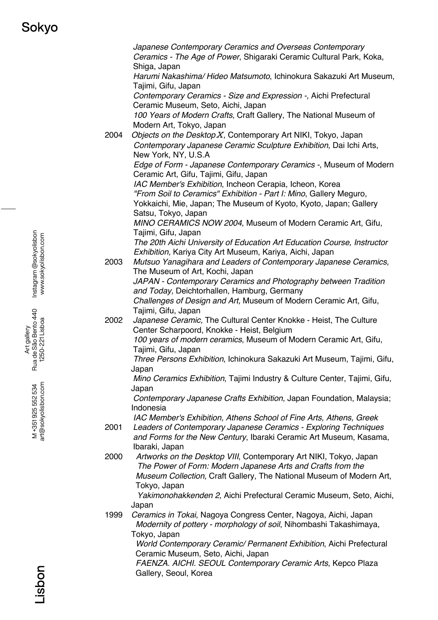*Japanese Contemporary Ceramics and Overseas Contemporary Ceramics - The Age of Power*, Shigaraki Ceramic Cultural Park, Koka, Shiga, Japan *Harumi Nakashima/ Hideo Matsumoto*, Ichinokura Sakazuki Art Museum, Tajimi, Gifu, Japan *Contemporary Ceramics - Size and Expression -*, Aichi Prefectural Ceramic Museum, Seto, Aichi, Japan *100 Years of Modern Crafts*, Craft Gallery, The National Museum of Modern Art, Tokyo, Japan 2004 *Objects on the Desktop*Ⅹ, Contemporary Art NIKI, Tokyo, Japan *Contemporary Japanese Ceramic Sculpture Exhibition*, Dai Ichi Arts, New York, NY, U.S.A *Edge of Form - Japanese Contemporary Ceramics -,* Museum of Modern Ceramic Art, Gifu, Tajimi, Gifu, Japan *IAC Member's Exhibition*, Incheon Cerapia, Icheon, Korea *"From Soil to Ceramics" Exhibition - Part I: Mino*, Gallery Meguro, Yokkaichi, Mie, Japan; The Museum of Kyoto, Kyoto, Japan; Gallery Satsu, Tokyo, Japan *MINO CERAMICS NOW 2004*, Museum of Modern Ceramic Art, Gifu, Tajimi, Gifu, Japan *The 20th Aichi University of Education Art Education Course, Instructor Exhibition,* Kariya City Art Museum, Kariya, Aichi, Japan 2003 *Mutsuo Yanagihara and Leaders of Contemporary Japanese Ceramics,* The Museum of Art, Kochi, Japan *JAPAN - Contemporary Ceramics and Photography between Tradition and Today,* Deichtorhallen, Hamburg, Germany *Challenges of Design and Art,* Museum of Modern Ceramic Art, Gifu, Tajimi, Gifu, Japan 2002 *Japanese Ceramic,* The Cultural Center Knokke - Heist, The Culture Center Scharpoord, Knokke - Heist, Belgium *100 years of modern ceramics*, Museum of Modern Ceramic Art, Gifu, Tajimi, Gifu, Japan *Three Persons Exhibition*, Ichinokura Sakazuki Art Museum, Tajimi, Gifu, Japan *Mino Ceramics Exhibition*, Tajimi Industry & Culture Center, Tajimi, Gifu, Japan *Contemporary Japanese Crafts Exhibition*, Japan Foundation, Malaysia; Indonesia *IAC Member's Exhibition, Athens School of Fine Arts, Athens, Greek* 2001 *Leaders of Contemporary Japanese Ceramics - Exploring Techniques and Forms for the New Century*, Ibaraki Ceramic Art Museum, Kasama, Ibaraki, Japan 2000 *Artworks on the Desktop VIII*, Contemporary Art NIKI, Tokyo, Japan *The Power of Form: Modern Japanese Arts and Crafts from the Museum Collection*, Craft Gallery, The National Museum of Modern Art, Tokyo, Japan *Yakimonohakkenden 2,* Aichi Prefectural Ceramic Museum, Seto, Aichi, Japan 1999 *Ceramics in Tokai*, Nagoya Congress Center, Nagoya, Aichi, Japan *Modernity of pottery - morphology of soil*, Nihombashi Takashimaya, Tokyo, Japan *World Contemporary Ceramic/ Permanent Exhibition*, Aichi Prefectural Ceramic Museum, Seto, Aichi, Japan *FAENZA. AICHI. SEOUL Contemporary Ceramic Arts*, Kepco Plaza Gallery, Seoul, Korea

Instagram @sokyolisbon Instagram @sokyolisbon www.sokyolisbon.com www.sokyolisbon.com Art gallery<br>Rua de São Bento 440 Rua de São Bento 440 1250-221 Lisboa 1250-221 Lisboa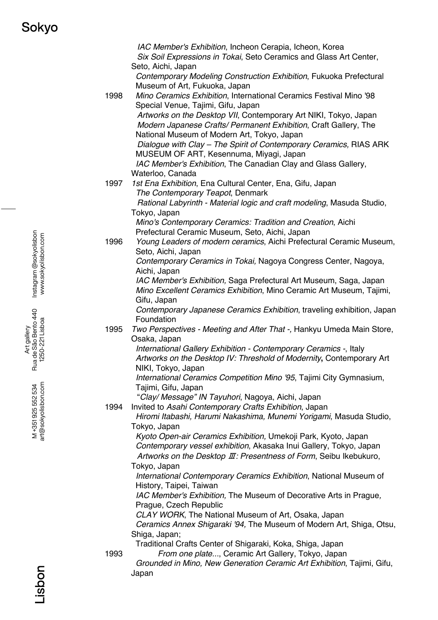*IAC Member's Exhibition*, Incheon Cerapia, Icheon, Korea *Six Soil Expressions in Tokai*, Seto Ceramics and Glass Art Center, Seto, Aichi, Japan *Contemporary Modeling Construction Exhibition*, Fukuoka Prefectural Museum of Art, Fukuoka, Japan 1998 *Mino Ceramics Exhibition*, International Ceramics Festival Mino '98 Special Venue, Tajimi, Gifu, Japan *Artworks on the Desktop VII*, Contemporary Art NIKI, Tokyo, Japan *Modern Japanese Crafts/ Permanent Exhibition*, Craft Gallery, The National Museum of Modern Art, Tokyo, Japan *Dialogue with Clay – The Spirit of Contemporary Ceramics,* RIAS ARK MUSEUM OF ART, Kesennuma, Miyagi, Japan *IAC Member's Exhibition*, The Canadian Clay and Glass Gallery, Waterloo, Canada 1997 *1st Ena Exhibition*, Ena Cultural Center, Ena, Gifu, Japan *The Contemporary Teapot*, Denmark *Rational Labyrinth - Material logic and craft modeling*, Masuda Studio, Tokyo, Japan *Mino's Contemporary Ceramics: Tradition and Creation*, Aichi Prefectural Ceramic Museum, Seto, Aichi, Japan 1996 *Young Leaders of modern ceramics*, Aichi Prefectural Ceramic Museum, Seto, Aichi, Japan *Contemporary Ceramics in Tokai,* Nagoya Congress Center, Nagoya, Aichi, Japan *IAC Member's Exhibition,* Saga Prefectural Art Museum, Saga, Japan *Mino Excellent Ceramics Exhibition*, Mino Ceramic Art Museum, Tajimi, Gifu, Japan *Contemporary Japanese Ceramics Exhibition*, traveling exhibition, Japan Foundation 1995 *Two Perspectives - Meeting and After That -,* Hankyu Umeda Main Store, Osaka, Japan *International Gallery Exhibition - Contemporary Ceramics -*, Italy *Artworks on the Desktop IV: Threshold of Modernity***,** Contemporary Art NIKI, Tokyo, Japan *International Ceramics Competition Mino '95*, Tajimi City Gymnasium, Tajimi, Gifu, Japan "*Clay/ Message" IN Tayuhori*, Nagoya, Aichi, Japan 1994 Invited to *Asahi Contemporary Crafts Exhibition*, Japan *Hiromi Itabashi, Harumi Nakashima, Munemi Yorigami*, Masuda Studio, Tokyo, Japan *Kyoto Open-air Ceramics Exhibition,* Umekoji Park, Kyoto, Japan *Contemporary vessel exhibition*, Akasaka Inui Gallery, Tokyo, Japan *Artworks on the Desktop* Ⅲ*: Presentness of Form*, Seibu Ikebukuro, Tokyo, Japan *International Contemporary Ceramics Exhibition*, National Museum of History, Taipei, Taiwan *IAC Member's Exhibition,* The Museum of Decorative Arts in Prague*,*  Prague, Czech Republic *CLAY WORK*, The National Museum of Art, Osaka, Japan *Ceramics Annex Shigaraki '94,* The Museum of Modern Art, Shiga, Otsu, Shiga, Japan; Traditional Crafts Center of Shigaraki, Koka, Shiga, Japan 1993 *From one plate...*, Ceramic Art Gallery, Tokyo, Japan *Grounded in Mino, New Generation Ceramic Art Exhibition*, Tajimi, Gifu, Japan

Instagram @sokyolisbon Instagram @sokyolisbon www.sokyolisbon.com www.sokyolisbon.com

Art gallery<br>Rua de São Bento 440 Rua de São Bento 440 1250-221 Lisboa 1250-221 Lisboa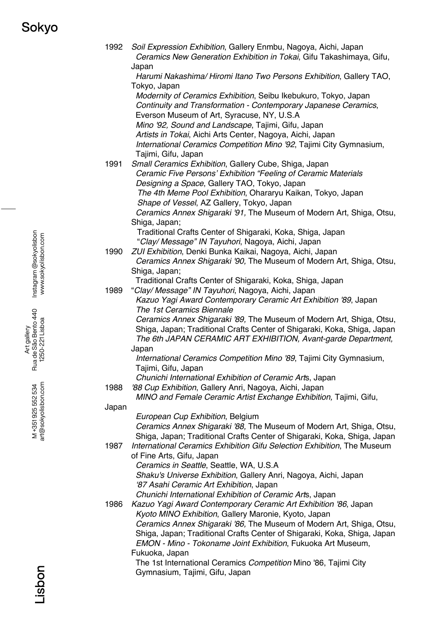# Sokyo

| 1992  | Soil Expression Exhibition, Gallery Enmbu, Nagoya, Aichi, Japan<br>Ceramics New Generation Exhibition in Tokai, Gifu Takashimaya, Gifu,<br>Japan |
|-------|--------------------------------------------------------------------------------------------------------------------------------------------------|
|       | Harumi Nakashima/ Hiromi Itano Two Persons Exhibition, Gallery TAO,                                                                              |
|       | Tokyo, Japan<br>Modernity of Ceramics Exhibition, Seibu Ikebukuro, Tokyo, Japan                                                                  |
|       | Continuity and Transformation - Contemporary Japanese Ceramics,                                                                                  |
|       | Everson Museum of Art, Syracuse, NY, U.S.A                                                                                                       |
|       | Mino '92, Sound and Landscape, Tajimi, Gifu, Japan<br>Artists in Tokai, Aichi Arts Center, Nagoya, Aichi, Japan                                  |
|       | International Ceramics Competition Mino '92, Tajimi City Gymnasium,                                                                              |
|       | Tajimi, Gifu, Japan                                                                                                                              |
| 1991  | Small Ceramics Exhibition, Gallery Cube, Shiga, Japan                                                                                            |
|       | Ceramic Five Persons' Exhibition "Feeling of Ceramic Materials                                                                                   |
|       | Designing a Space, Gallery TAO, Tokyo, Japan                                                                                                     |
|       | The 4th Meme Pool Exhibition, Ohararyu Kaikan, Tokyo, Japan                                                                                      |
|       | Shape of Vessel, AZ Gallery, Tokyo, Japan                                                                                                        |
|       | Ceramics Annex Shigaraki '91, The Museum of Modern Art, Shiga, Otsu,                                                                             |
|       | Shiga, Japan;                                                                                                                                    |
|       | Traditional Crafts Center of Shigaraki, Koka, Shiga, Japan<br>"Clay/ Message" IN Tayuhori, Nagoya, Aichi, Japan                                  |
| 1990  | ZUI Exhibition, Denki Bunka Kaikai, Nagoya, Aichi, Japan                                                                                         |
|       | Ceramics Annex Shigaraki '90, The Museum of Modern Art, Shiga, Otsu,                                                                             |
|       | Shiga, Japan;                                                                                                                                    |
|       | Traditional Crafts Center of Shigaraki, Koka, Shiga, Japan                                                                                       |
| 1989  | "Clay/ Message" IN Tayuhori, Nagoya, Aichi, Japan                                                                                                |
|       | Kazuo Yagi Award Contemporary Ceramic Art Exhibition '89, Japan                                                                                  |
|       | The 1st Ceramics Biennale                                                                                                                        |
|       | Ceramics Annex Shigaraki '89, The Museum of Modern Art, Shiga, Otsu,                                                                             |
|       | Shiga, Japan; Traditional Crafts Center of Shigaraki, Koka, Shiga, Japan<br>The 6th JAPAN CERAMIC ART EXHIBITION, Avant-garde Department,        |
|       | Japan                                                                                                                                            |
|       | International Ceramics Competition Mino '89, Tajimi City Gymnasium,                                                                              |
|       | Tajimi, Gifu, Japan                                                                                                                              |
|       | Chunichi International Exhibition of Ceramic Arts, Japan                                                                                         |
| 1988  | '88 Cup Exhibition, Gallery Anri, Nagoya, Aichi, Japan                                                                                           |
|       | MINO and Female Ceramic Artist Exchange Exhibition, Tajimi, Gifu,                                                                                |
| Japan |                                                                                                                                                  |
|       | European Cup Exhibition, Belgium                                                                                                                 |
|       | Ceramics Annex Shigaraki '88, The Museum of Modern Art, Shiga, Otsu,<br>Shiga, Japan; Traditional Crafts Center of Shigaraki, Koka, Shiga, Japan |
| 1987  | International Ceramics Exhibition Gifu Selection Exhibition, The Museum                                                                          |
|       | of Fine Arts, Gifu, Japan                                                                                                                        |
|       | Ceramics in Seattle, Seattle, WA, U.S.A                                                                                                          |
|       | Shaku's Universe Exhibition, Gallery Anri, Nagoya, Aichi, Japan                                                                                  |
|       | '87 Asahi Ceramic Art Exhibition, Japan                                                                                                          |
|       | Chunichi International Exhibition of Ceramic Arts, Japan                                                                                         |
| 1986  | Kazuo Yagi Award Contemporary Ceramic Art Exhibition '86, Japan<br>Kyoto MINO Exhibition, Gallery Maronie, Kyoto, Japan                          |
|       | Ceramics Annex Shigaraki '86, The Museum of Modern Art, Shiga, Otsu,                                                                             |
|       | Shiga, Japan; Traditional Crafts Center of Shigaraki, Koka, Shiga, Japan                                                                         |
|       | EMON - Mino - Tokoname Joint Exhibition, Fukuoka Art Museum,                                                                                     |
|       | Fukuoka, Japan                                                                                                                                   |
|       | The 1st International Ceramics Competition Mino '86, Tajimi City                                                                                 |
|       | Gymnasium, Tajimi, Gifu, Japan                                                                                                                   |
|       |                                                                                                                                                  |

Instagram @sokyolisbon<br>www.sokyolisbon.com Instagram @sokyolisbon www.sokyolisbon.com

Art gallery<br>Rua de São Bento 440<br>1250-221 Lisboa Rua de São Bento 440 1250-221 Lisboa

> M+351925552534<br>art@sokyolisbon.com art@sokyolisbon.com M +351 925 552 534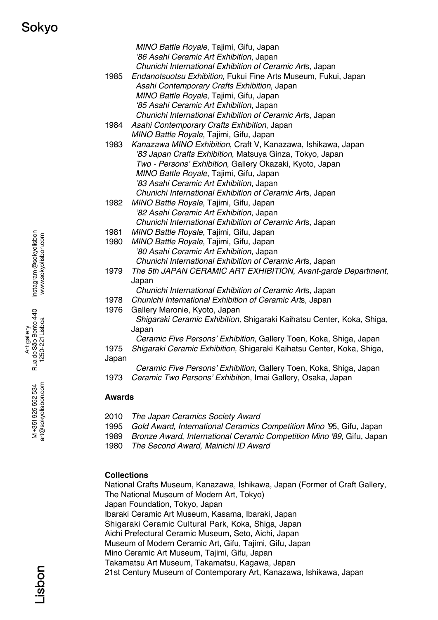### Sokyo

|       | MINO Battle Royale, Tajimi, Gifu, Japan<br>'86 Asahi Ceramic Art Exhibition, Japan<br>Chunichi International Exhibition of Ceramic Arts, Japan |
|-------|------------------------------------------------------------------------------------------------------------------------------------------------|
| 1985  | Endanotsuotsu Exhibition, Fukui Fine Arts Museum, Fukui, Japan                                                                                 |
|       | Asahi Contemporary Crafts Exhibition, Japan                                                                                                    |
|       | MINO Battle Royale, Tajimi, Gifu, Japan                                                                                                        |
|       | '85 Asahi Ceramic Art Exhibition, Japan                                                                                                        |
|       | Chunichi International Exhibition of Ceramic Arts, Japan                                                                                       |
| 1984  | Asahi Contemporary Crafts Exhibition, Japan                                                                                                    |
|       | MINO Battle Royale, Tajimi, Gifu, Japan                                                                                                        |
| 1983  | Kanazawa MINO Exhibition, Craft V, Kanazawa, Ishikawa, Japan                                                                                   |
|       | '83 Japan Crafts Exhibition, Matsuya Ginza, Tokyo, Japan                                                                                       |
|       | Two - Persons' Exhibition, Gallery Okazaki, Kyoto, Japan                                                                                       |
|       | MINO Battle Royale, Tajimi, Gifu, Japan                                                                                                        |
|       | '83 Asahi Ceramic Art Exhibition, Japan                                                                                                        |
|       | Chunichi International Exhibition of Ceramic Arts, Japan                                                                                       |
| 1982  | MINO Battle Royale, Tajimi, Gifu, Japan                                                                                                        |
|       | '82 Asahi Ceramic Art Exhibition, Japan                                                                                                        |
|       | Chunichi International Exhibition of Ceramic Arts, Japan                                                                                       |
| 1981  | MINO Battle Royale, Tajimi, Gifu, Japan                                                                                                        |
| 1980  | MINO Battle Royale, Tajimi, Gifu, Japan                                                                                                        |
|       | '80 Asahi Ceramic Art Exhibition, Japan                                                                                                        |
|       | Chunichi International Exhibition of Ceramic Arts, Japan                                                                                       |
| 1979  | The 5th JAPAN CERAMIC ART EXHIBITION, Avant-garde Department,                                                                                  |
|       | Japan                                                                                                                                          |
|       | Chunichi International Exhibition of Ceramic Arts, Japan                                                                                       |
| 1978  | Chunichi International Exhibition of Ceramic Arts, Japan                                                                                       |
| 1976  | Gallery Maronie, Kyoto, Japan                                                                                                                  |
|       | Shigaraki Ceramic Exhibition, Shigaraki Kaihatsu Center, Koka, Shiga,                                                                          |
|       | Japan                                                                                                                                          |
|       | Ceramic Five Persons' Exhibition, Gallery Toen, Koka, Shiga, Japan                                                                             |
| 1975  | Shigaraki Ceramic Exhibition, Shigaraki Kaihatsu Center, Koka, Shiga,                                                                          |
| Japan |                                                                                                                                                |
|       |                                                                                                                                                |
|       | Ceramic Five Persons' Exhibition, Gallery Toen, Koka, Shiga, Japan                                                                             |

- 2010 *The Japan Ceramics Society Award*
- 1995 *Gold Award, International Ceramics Competition Mino '9*5, Gifu, Japan
- 1989 *Bronze Award*, *International Ceramic Competition Mino '89*, Gifu, Japan
- 1980 *The Second Award, Mainichi ID Award*

### **Collections**

National Crafts Museum, Kanazawa, Ishikawa, Japan (Former of Craft Gallery, The National Museum of Modern Art, Tokyo) Japan Foundation, Tokyo, Japan Ibaraki Ceramic Art Museum, Kasama, Ibaraki, Japan Shigaraki Ceramic Cultural Park, Koka, Shiga, Japan Aichi Prefectural Ceramic Museum, Seto, Aichi, Japan Museum of Modern Ceramic Art, Gifu, Tajimi, Gifu, Japan Mino Ceramic Art Museum, Tajimi, Gifu, Japan Takamatsu Art Museum, Takamatsu, Kagawa, Japan

21st Century Museum of Contemporary Art, Kanazawa, Ishikawa, Japan

Instagram @sokyolisbon Instagram @sokyolisbon www.sokyolisbon.com www.sokyolisbon.com

Art gallery<br>Rua de São Bento 440<br>1250-221 Lisboa Rua de São Bento 440 1250-221 Lisboa

> art@sokyolisbon.com M +351 925 552 534 art@sokyolisbon.com M +351 925 552 534